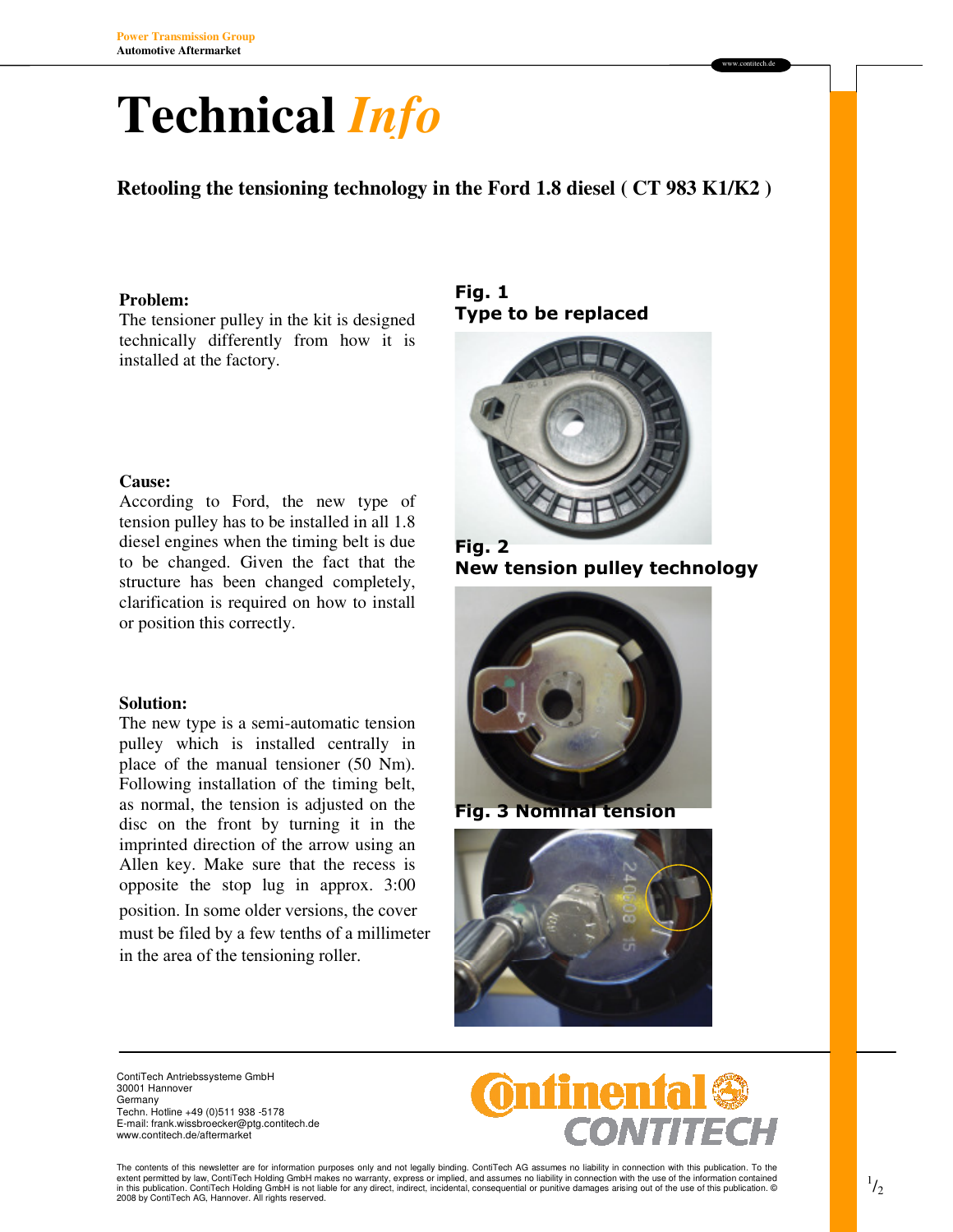# **Technical** *Info*

**Retooling the tensioning technology in the Ford 1.8 diesel ( CT 983 K1/K2 )** 

### **Problem:**

The tensioner pulley in the kit is designed technically differently from how it is installed at the factory.

### **Cause:**

According to Ford, the new type of tension pulley has to be installed in all 1.8 diesel engines when the timing belt is due to be changed. Given the fact that the structure has been changed completely, clarification is required on how to install or position this correctly.

#### **Solution:**

The new type is a semi-automatic tension pulley which is installed centrally in place of the manual tensioner (50 Nm). Following installation of the timing belt, as normal, the tension is adjusted on the disc on the front by turning it in the imprinted direction of the arrow using an Allen key. Make sure that the recess is opposite the stop lug in approx. 3:00 position. In some older versions, the cover must be filed by a few tenths of a millimeter in the area of the tensioning roller.

## Fig. 1 Type to be replaced



Fig. 2 New tension pulley technology

www.contitech.de



Fig. 3 Nominal tension



ContiTech Antriebssysteme GmbH 30001 Hannover Germany Techn. Hotline +49 (0)511 938 -5178 E-mail: frank.wissbroecker@ptg.contitech.de

www.contitech.de/aftermarket



The contents of this newsletter are for information purposes only and not legally binding. ContiTech AG assumes no liability in connection with this publication. To the<br>extent permitted by law, ContiTech Holding GmbH make 2008 by ContiTech AG, Hannover. All rights reserved.